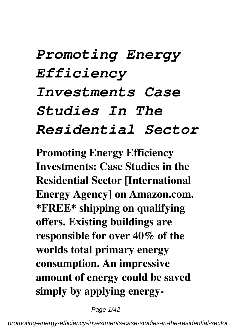# *Promoting Energy Efficiency Investments Case Studies In The Residential Sector*

**Promoting Energy Efficiency Investments: Case Studies in the Residential Sector [International Energy Agency] on Amazon.com. \*FREE\* shipping on qualifying offers. Existing buildings are responsible for over 40% of the worlds total primary energy consumption. An impressive amount of energy could be saved simply by applying energy-**

Page 1/42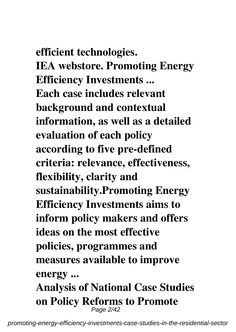**efficient technologies. IEA webstore. Promoting Energy Efficiency Investments ... Each case includes relevant background and contextual information, as well as a detailed evaluation of each policy according to five pre-defined criteria: relevance, effectiveness, flexibility, clarity and sustainability.Promoting Energy Efficiency Investments aims to inform policy makers and offers ideas on the most effective policies, programmes and measures available to improve energy ... Analysis of National Case Studies on Policy Reforms to Promote**

Page 2/42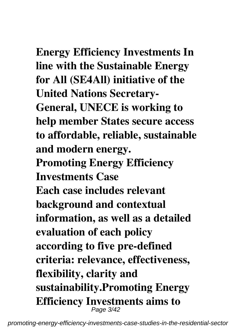**Energy Efficiency Investments In line with the Sustainable Energy**

**for All (SE4All) initiative of the United Nations Secretary-General, UNECE is working to help member States secure access to affordable, reliable, sustainable and modern energy.**

**Promoting Energy Efficiency Investments Case**

**Each case includes relevant background and contextual information, as well as a detailed evaluation of each policy according to five pre-defined criteria: relevance, effectiveness, flexibility, clarity and sustainability.Promoting Energy Efficiency Investments aims to** Page 3/42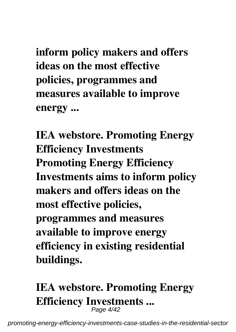**inform policy makers and offers ideas on the most effective policies, programmes and measures available to improve energy ...**

**IEA webstore. Promoting Energy Efficiency Investments Promoting Energy Efficiency Investments aims to inform policy makers and offers ideas on the most effective policies, programmes and measures available to improve energy efficiency in existing residential buildings.**

#### **IEA webstore. Promoting Energy Efficiency Investments ...** Page 4/42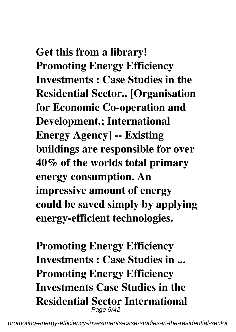# **Get this from a library! Promoting Energy Efficiency**

**Investments : Case Studies in the Residential Sector.. [Organisation for Economic Co-operation and Development.; International Energy Agency] -- Existing buildings are responsible for over 40% of the worlds total primary energy consumption. An impressive amount of energy could be saved simply by applying energy-efficient technologies.**

**Promoting Energy Efficiency Investments : Case Studies in ... Promoting Energy Efficiency Investments Case Studies in the Residential Sector International** Page 5/42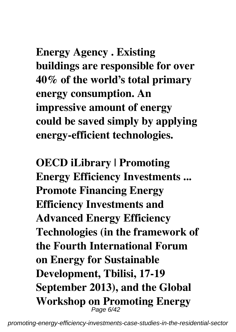**Energy Agency . Existing buildings are responsible for over 40% of the world's total primary energy consumption. An impressive amount of energy could be saved simply by applying energy-efficient technologies.**

**OECD iLibrary | Promoting Energy Efficiency Investments ... Promote Financing Energy Efficiency Investments and Advanced Energy Efficiency Technologies (in the framework of the Fourth International Forum on Energy for Sustainable Development, Tbilisi, 17-19 September 2013), and the Global Workshop on Promoting Energy** Page 6/42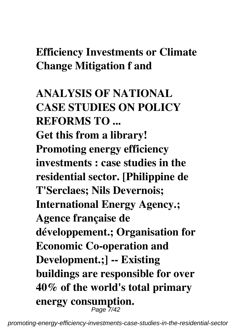## **Efficiency Investments or Climate Change Mitigation f and**

**ANALYSIS OF NATIONAL CASE STUDIES ON POLICY REFORMS TO ... Get this from a library! Promoting energy efficiency investments : case studies in the residential sector. [Philippine de T'Serclaes; Nils Devernois; International Energy Agency.; Agence française de développement.; Organisation for Economic Co-operation and Development.;] -- Existing buildings are responsible for over 40% of the world's total primary energy consumption.** Page 7/42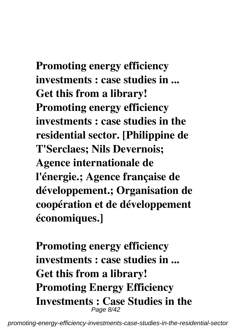**Promoting energy efficiency investments : case studies in ... Get this from a library! Promoting energy efficiency investments : case studies in the residential sector. [Philippine de T'Serclaes; Nils Devernois; Agence internationale de l'énergie.; Agence française de développement.; Organisation de coopération et de développement économiques.]**

**Promoting energy efficiency investments : case studies in ... Get this from a library! Promoting Energy Efficiency Investments : Case Studies in the** Page 8/42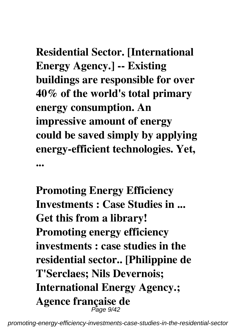**Residential Sector. [International Energy Agency.] -- Existing buildings are responsible for over 40% of the world's total primary energy consumption. An impressive amount of energy could be saved simply by applying energy-efficient technologies. Yet, ...**

**Promoting Energy Efficiency Investments : Case Studies in ... Get this from a library! Promoting energy efficiency investments : case studies in the residential sector.. [Philippine de T'Serclaes; Nils Devernois; International Energy Agency.; Agence française de** Page 9/42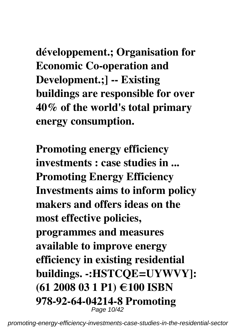**développement.; Organisation for Economic Co-operation and Development.;] -- Existing buildings are responsible for over 40% of the world's total primary energy consumption.**

**Promoting energy efficiency investments : case studies in ... Promoting Energy Efficiency Investments aims to inform policy makers and offers ideas on the most effective policies, programmes and measures available to improve energy efficiency in existing residential buildings. -:HSTCQE=UYWVY]: (61 2008 03 1 P1) €100 ISBN 978-92-64-04214-8 Promoting** Page 10/42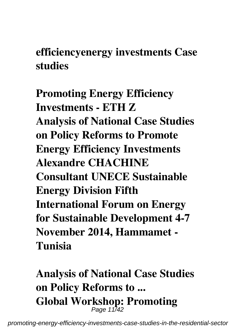**efficiencyenergy investments Case studies**

**Promoting Energy Efficiency Investments - ETH Z Analysis of National Case Studies on Policy Reforms to Promote Energy Efficiency Investments Alexandre CHACHINE Consultant UNECE Sustainable Energy Division Fifth International Forum on Energy for Sustainable Development 4-7 November 2014, Hammamet - Tunisia**

**Analysis of National Case Studies on Policy Reforms to ... Global Workshop: Promoting** Page 11/42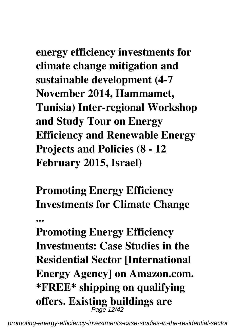**energy efficiency investments for climate change mitigation and sustainable development (4-7 November 2014, Hammamet, Tunisia) Inter-regional Workshop and Study Tour on Energy Efficiency and Renewable Energy Projects and Policies (8 - 12 February 2015, Israel)**

**Promoting Energy Efficiency Investments for Climate Change ...**

**Promoting Energy Efficiency Investments: Case Studies in the Residential Sector [International Energy Agency] on Amazon.com. \*FREE\* shipping on qualifying offers. Existing buildings are** Page 12/42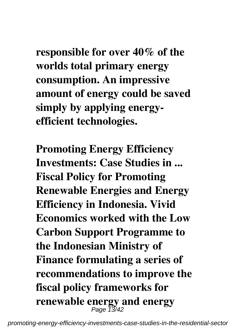**responsible for over 40% of the worlds total primary energy consumption. An impressive amount of energy could be saved simply by applying energyefficient technologies.**

**Promoting Energy Efficiency Investments: Case Studies in ... Fiscal Policy for Promoting Renewable Energies and Energy Efficiency in Indonesia. Vivid Economics worked with the Low Carbon Support Programme to the Indonesian Ministry of Finance formulating a series of recommendations to improve the fiscal policy frameworks for renewable energy and energy** Page 13/42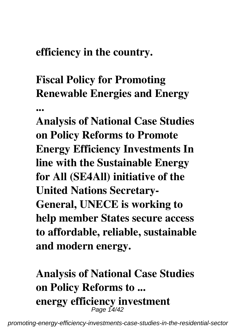#### **efficiency in the country.**

**...**

# **Fiscal Policy for Promoting Renewable Energies and Energy**

**Analysis of National Case Studies on Policy Reforms to Promote Energy Efficiency Investments In line with the Sustainable Energy for All (SE4All) initiative of the United Nations Secretary-General, UNECE is working to help member States secure access to affordable, reliable, sustainable and modern energy.**

# **Analysis of National Case Studies on Policy Reforms to ... energy efficiency investment** Page 14/42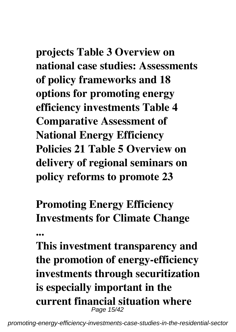**projects Table 3 Overview on national case studies: Assessments of policy frameworks and 18 options for promoting energy efficiency investments Table 4 Comparative Assessment of National Energy Efficiency Policies 21 Table 5 Overview on delivery of regional seminars on policy reforms to promote 23**

**Promoting Energy Efficiency Investments for Climate Change**

**...**

**This investment transparency and the promotion of energy-efficiency investments through securitization is especially important in the current financial situation where** Page 15/42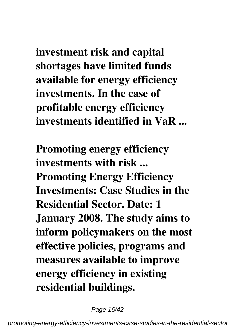**investment risk and capital shortages have limited funds available for energy efficiency investments. In the case of profitable energy efficiency investments identified in VaR ...**

**Promoting energy efficiency investments with risk ... Promoting Energy Efficiency Investments: Case Studies in the Residential Sector. Date: 1 January 2008. The study aims to inform policymakers on the most effective policies, programs and measures available to improve energy efficiency in existing residential buildings.**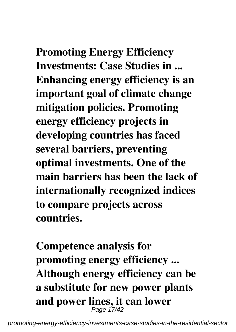**Promoting Energy Efficiency Investments: Case Studies in ... Enhancing energy efficiency is an important goal of climate change mitigation policies. Promoting energy efficiency projects in developing countries has faced several barriers, preventing optimal investments. One of the main barriers has been the lack of internationally recognized indices to compare projects across countries.**

**Competence analysis for promoting energy efficiency ... Although energy efficiency can be a substitute for new power plants and power lines, it can lower** Page 17/42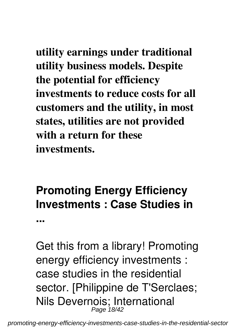**utility earnings under traditional utility business models. Despite the potential for efficiency investments to reduce costs for all customers and the utility, in most states, utilities are not provided with a return for these investments.**

## **Promoting Energy Efficiency Investments : Case Studies in**

**...**

Get this from a library! Promoting energy efficiency investments : case studies in the residential sector. [Philippine de T'Serclaes; Nils Devernois; International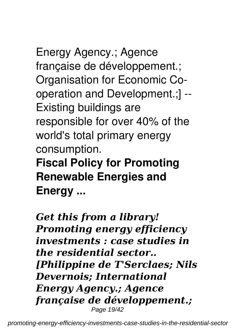Energy Agency.; Agence française de développement.; Organisation for Economic Cooperation and Development.;] -- Existing buildings are responsible for over 40% of the world's total primary energy consumption.

**Fiscal Policy for Promoting Renewable Energies and Energy ...**

*Get this from a library! Promoting energy efficiency investments : case studies in the residential sector.. [Philippine de T'Serclaes; Nils Devernois; International Energy Agency.; Agence française de développement.;* Page 19/42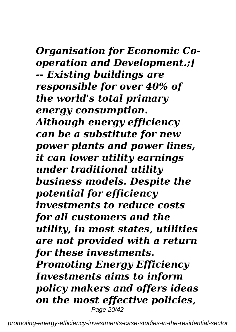#### *Organisation for Economic Cooperation and Development.;] -- Existing buildings are responsible for over 40% of the world's total primary energy consumption. Although energy efficiency can be a substitute for new power plants and power lines, it can lower utility earnings under traditional utility business models. Despite the potential for efficiency investments to reduce costs for all customers and the utility, in most states, utilities are not provided with a return for these investments. Promoting Energy Efficiency Investments aims to inform policy makers and offers ideas*

*on the most effective policies,* Page 20/42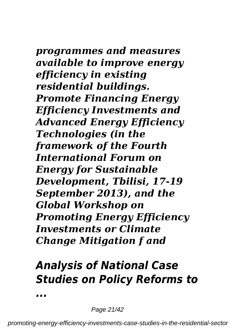#### *programmes and measures available to improve energy efficiency in existing residential buildings. Promote Financing Energy Efficiency Investments and Advanced Energy Efficiency Technologies (in the framework of the Fourth International Forum on Energy for Sustainable Development, Tbilisi, 17-19 September 2013), and the Global Workshop on Promoting Energy Efficiency Investments or Climate Change Mitigation f and*

## *Analysis of National Case Studies on Policy Reforms to*

Page 21/42

*...*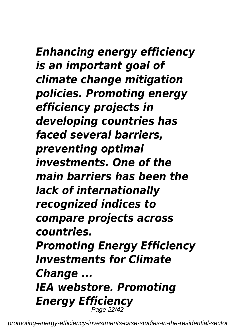## *Enhancing energy efficiency is an important goal of climate change mitigation policies. Promoting energy efficiency projects in developing countries has faced several barriers, preventing optimal investments. One of the main barriers has been the lack of internationally recognized indices to compare projects across countries. Promoting Energy Efficiency Investments for Climate*

*Change ... IEA webstore. Promoting Energy Efficiency* Page 22/42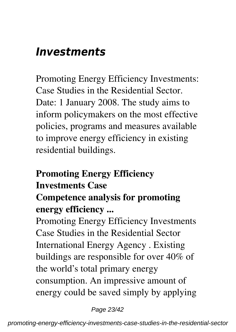# *Investments*

Promoting Energy Efficiency Investments: Case Studies in the Residential Sector. Date: 1 January 2008. The study aims to inform policymakers on the most effective policies, programs and measures available to improve energy efficiency in existing residential buildings.

# **Promoting Energy Efficiency Investments Case**

#### **Competence analysis for promoting energy efficiency ...**

Promoting Energy Efficiency Investments Case Studies in the Residential Sector International Energy Agency . Existing buildings are responsible for over 40% of the world's total primary energy consumption. An impressive amount of energy could be saved simply by applying

Page 23/42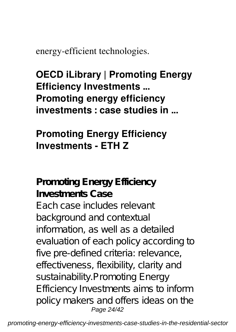energy-efficient technologies.

**OECD iLibrary | Promoting Energy Efficiency Investments ... Promoting energy efficiency investments : case studies in ...**

#### **Promoting Energy Efficiency Investments - ETH Z**

**Promoting Energy Efficiency Investments Case** Each case includes relevant background and contextual information, as well as a detailed evaluation of each policy according to five pre-defined criteria: relevance, effectiveness, flexibility, clarity and sustainability.Promoting Energy Efficiency Investments aims to inform policy makers and offers ideas on the Page 24/42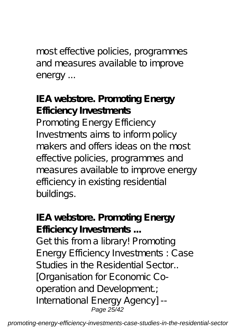most effective policies, programmes and measures available to improve energy ...

**IEA webstore. Promoting Energy Efficiency Investments** Promoting Energy Efficiency Investments aims to inform policy makers and offers ideas on the most effective policies, programmes and measures available to improve energy efficiency in existing residential buildings.

**IEA webstore. Promoting Energy Efficiency Investments ...** Get this from a library! Promoting Energy Efficiency Investments : Case Studies in the Residential Sector.. [Organisation for Economic Cooperation and Development.; International Energy Agency] -- Page 25/42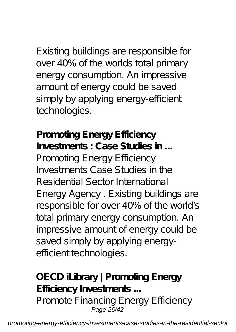Existing buildings are responsible for over 40% of the worlds total primary energy consumption. An impressive amount of energy could be saved simply by applying energy-efficient technologies.

**Promoting Energy Efficiency Investments : Case Studies in ...** Promoting Energy Efficiency Investments Case Studies in the Residential Sector International Energy Agency . Existing buildings are responsible for over 40% of the world's total primary energy consumption. An impressive amount of energy could be saved simply by applying energyefficient technologies.

**OECD iLibrary | Promoting Energy Efficiency Investments ...** Promote Financing Energy Efficiency Page 26/42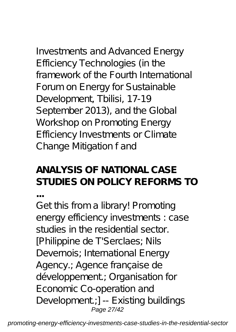Investments and Advanced Energy Efficiency Technologies (in the framework of the Fourth International Forum on Energy for Sustainable Development, Tbilisi, 17-19 September 2013), and the Global Workshop on Promoting Energy Efficiency Investments or Climate Change Mitigation f and

#### **ANALYSIS OF NATIONAL CASE STUDIES ON POLICY REFORMS TO**

**...**

Get this from a library! Promoting energy efficiency investments : case studies in the residential sector. [Philippine de T'Serclaes; Nils Devernois; International Energy Agency.; Agence française de développement.; Organisation for Economic Co-operation and Development.;] -- Existing buildings Page 27/42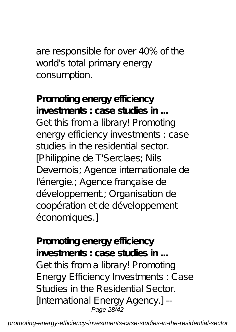are responsible for over 40% of the world's total primary energy consumption.

**Promoting energy efficiency investments : case studies in ...** Get this from a library! Promoting energy efficiency investments : case studies in the residential sector. [Philippine de T'Serclaes; Nils Devernois; Agence internationale de l'énergie.; Agence française de développement; Organisation de coopération et de développement économiques.]

**Promoting energy efficiency investments : case studies in ...** Get this from a library! Promoting Energy Efficiency Investments : Case Studies in the Residential Sector. [International Energy Agency.] -- Page 28/42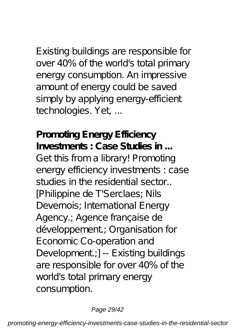Existing buildings are responsible for over 40% of the world's total primary energy consumption. An impressive amount of energy could be saved simply by applying energy-efficient technologies. Yet, ...

**Promoting Energy Efficiency Investments : Case Studies in ...** Get this from a library! Promoting energy efficiency investments : case studies in the residential sector. [Philippine de T'Serclaes; Nils Devernois; International Energy Agency.; Agence française de développement.; Organisation for Economic Co-operation and Development;] -- Existing buildings are responsible for over 40% of the world's total primary energy consumption.

#### Page 29/42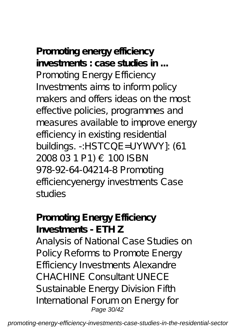**Promoting energy efficiency investments : case studies in ...** Promoting Energy Efficiency Investments aims to inform policy makers and offers ideas on the most effective policies, programmes and measures available to improve energy efficiency in existing residential buildings. -:HSTCQE=UYWVY]: (61 2008 03 1 P1) € 100 ISBN 978-92-64-04214-8 Promoting efficiencyenergy investments Case

studies

#### **Promoting Energy Efficiency Investments - ETH Z**

Analysis of National Case Studies on Policy Reforms to Promote Energy Efficiency Investments Alexandre CHACHINE Consultant UNECE Sustainable Energy Division Fifth International Forum on Energy for Page 30/42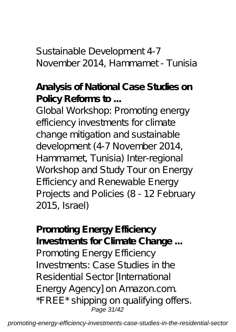Sustainable Development 4-7 November 2014, Hammamet - Tunisia

**Analysis of National Case Studies on Policy Reforms to ...**

Global Workshop: Promoting energy efficiency investments for climate change mitigation and sustainable development (4-7 November 2014, Hammamet, Tunisia) Inter-regional Workshop and Study Tour on Energy Efficiency and Renewable Energy Projects and Policies (8 - 12 February 2015, Israel)

**Promoting Energy Efficiency Investments for Climate Change ...** Promoting Energy Efficiency Investments: Case Studies in the Residential Sector [International Energy Agency] on Amazon.com. \*FREE\* shipping on qualifying offers. Page 31/42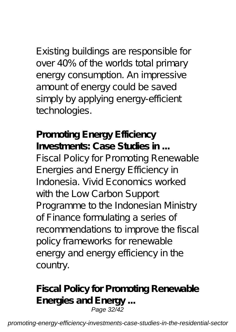Existing buildings are responsible for over 40% of the worlds total primary energy consumption. An impressive amount of energy could be saved simply by applying energy-efficient technologies.

**Promoting Energy Efficiency Investments: Case Studies in ...** Fiscal Policy for Promoting Renewable Energies and Energy Efficiency in Indonesia. Vivid Economics worked with the Low Carbon Support Programme to the Indonesian Ministry of Finance formulating a series of recommendations to improve the fiscal policy frameworks for renewable energy and energy efficiency in the country.

**Fiscal Policy for Promoting Renewable Energies and Energy ...** Page 32/42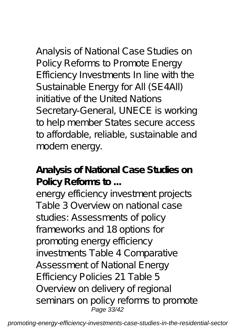#### Analysis of National Case Studies on Policy Reforms to Promote Energy Efficiency Investments In line with the Sustainable Energy for All (SE4All) initiative of the United Nations Secretary-General, UNECE is working to help member States secure access to affordable, reliable, sustainable and modern energy.

#### **Analysis of National Case Studies on Policy Reforms to ...**

energy efficiency investment projects Table 3 Overview on national case studies: Assessments of policy frameworks and 18 options for promoting energy efficiency investments Table 4 Comparative Assessment of National Energy Efficiency Policies 21 Table 5 Overview on delivery of regional seminars on policy reforms to promote Page 33/42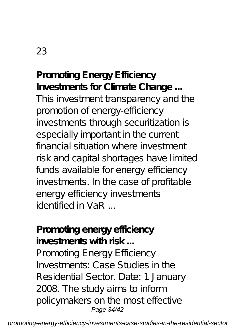#### 23

**Promoting Energy Efficiency Investments for Climate Change ...** This investment transparency and the promotion of energy-efficiency investments through securitization is especially important in the current financial situation where investment risk and capital shortages have limited funds available for energy efficiency investments. In the case of profitable energy efficiency investments identified in  $V$ aR  $\,$ 

#### **Promoting energy efficiency investments with risk ...**

Promoting Energy Efficiency Investments: Case Studies in the Residential Sector. Date: 1 January 2008. The study aims to inform policymakers on the most effective Page 34/42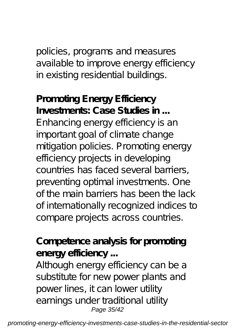#### policies, programs and measures available to improve energy efficiency in existing residential buildings.

**Promoting Energy Efficiency Investments: Case Studies in ...** Enhancing energy efficiency is an important goal of climate change mitigation policies. Promoting energy efficiency projects in developing countries has faced several barriers, preventing optimal investments. One of the main barriers has been the lack of internationally recognized indices to compare projects across countries.

#### **Competence analysis for promoting energy efficiency ...**

Although energy efficiency can be a substitute for new power plants and power lines, it can lower utility earnings under traditional utility Page 35/42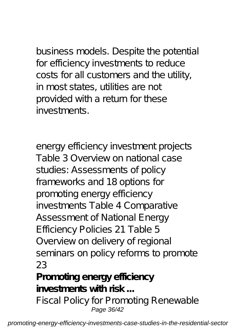business models. Despite the potential for efficiency investments to reduce costs for all customers and the utility, in most states, utilities are not provided with a return for these investments.

energy efficiency investment projects Table 3 Overview on national case studies: Assessments of policy frameworks and 18 options for promoting energy efficiency investments Table 4 Comparative Assessment of National Energy Efficiency Policies 21 Table 5 Overview on delivery of regional seminars on policy reforms to promote 23

**Promoting energy efficiency investments with risk ...**

Fiscal Policy for Promoting Renewable Page 36/42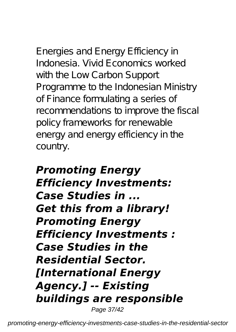Energies and Energy Efficiency in Indonesia. Vivid Economics worked with the Low Carbon Support Programme to the Indonesian Ministry of Finance formulating a series of recommendations to improve the fiscal policy frameworks for renewable energy and energy efficiency in the country.

#### *Promoting Energy Efficiency Investments: Case Studies in ... Get this from a library! Promoting Energy Efficiency Investments : Case Studies in the Residential Sector. [International Energy Agency.] -- Existing buildings are responsible* Page 37/42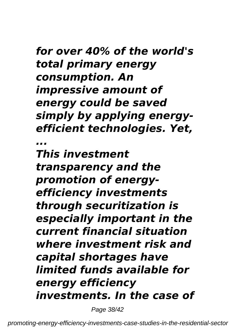#### *for over 40% of the world's total primary energy consumption. An impressive amount of energy could be saved simply by applying energyefficient technologies. Yet, ...*

*This investment transparency and the promotion of energyefficiency investments through securitization is especially important in the current financial situation where investment risk and capital shortages have limited funds available for energy efficiency investments. In the case of*

Page 38/42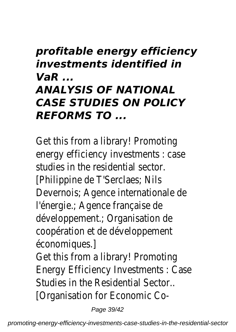### *profitable energy efficiency investments identified in VaR ... ANALYSIS OF NATIONAL CASE STUDIES ON POLICY REFORMS TO ...*

Get this from a library! Promoting energy efficiency investments : case studies in the residential sector. [Philippine de T'Serclaes; Nils Devernois; Agence internationale de l'énergie.; Agence française de développement.; Organisation de coopération et de développement économiques.]

Get this from a library! Promoting Energy Efficiency Investments : Case Studies in the Residential Sector.. [Organisation for Economic Co-

Page 39/42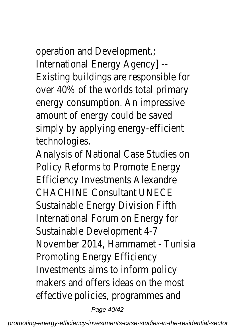operation and Development.; International Energy Agency] -- Existing buildings are responsible for over 40% of the worlds total primary energy consumption. An impressive amount of energy could be saved simply by applying energy-efficient technologies.

Analysis of National Case Studies on Policy Reforms to Promote Energy Efficiency Investments Alexandre CHACHINE Consultant UNECE Sustainable Energy Division Fifth International Forum on Energy for Sustainable Development 4-7 November 2014, Hammamet - Tunisia Promoting Energy Efficiency Investments aims to inform policy makers and offers ideas on the most effective policies, programmes and

Page 40/42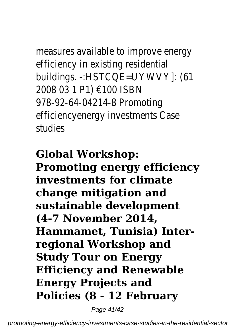measures available to improve energy efficiency in existing residential buildings. -:HSTCQE=UYWVY]: (61 2008 03 1 P1) €100 ISBN 978-92-64-04214-8 Promoting efficiencyenergy investments Case studies

**Global Workshop: Promoting energy efficiency investments for climate change mitigation and sustainable development (4-7 November 2014, Hammamet, Tunisia) Interregional Workshop and Study Tour on Energy Efficiency and Renewable Energy Projects and Policies (8 - 12 February**

Page 41/42